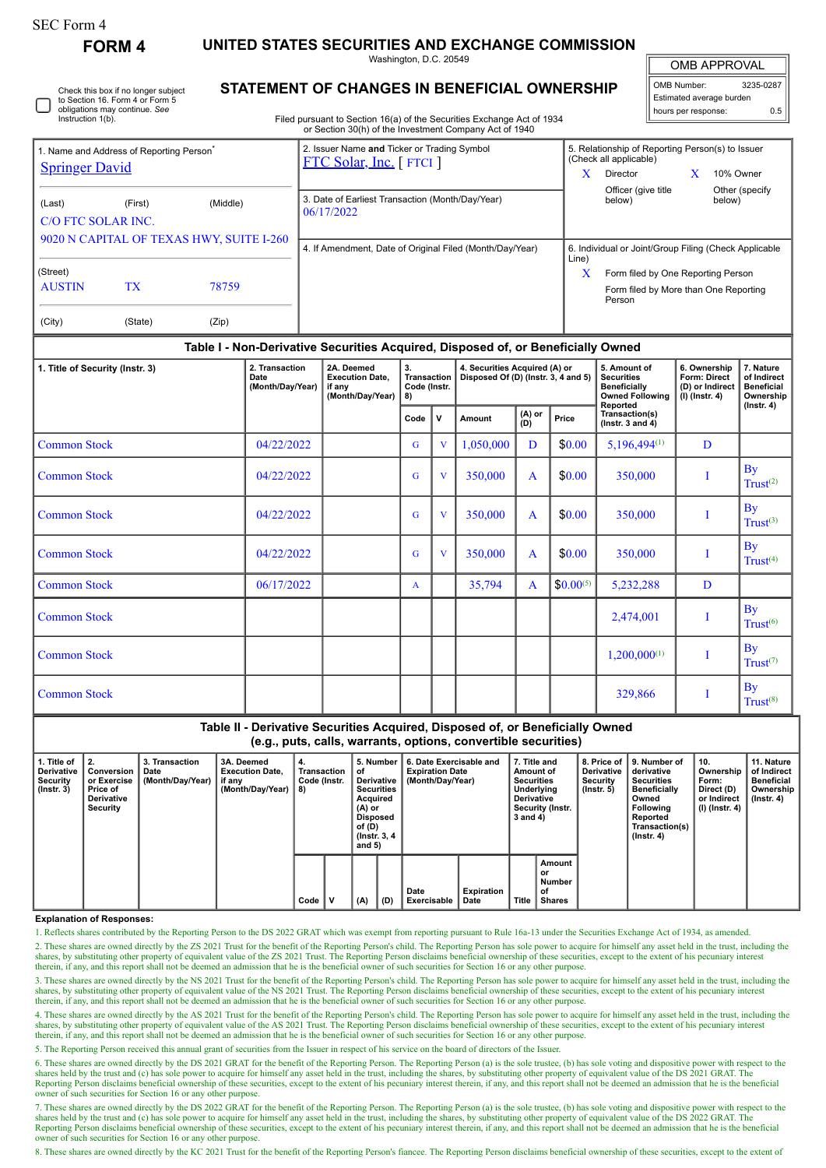# SEC Form 4

**FORM 4 UNITED STATES SECURITIES AND EXCHANGE COMMISSION**

Washington, D.C. 20549

OMB APPROVAL

| OMB Number:              | 3235-0287 |  |  |  |  |  |  |  |  |
|--------------------------|-----------|--|--|--|--|--|--|--|--|
| Estimated average burden |           |  |  |  |  |  |  |  |  |
| hours per response:      | 0.5       |  |  |  |  |  |  |  |  |

Check this box if no longer subject to Section 16. Form 4 or Form 5 obligations may continue. *See* Instruction 1(b).

# **STATEMENT OF CHANGES IN BENEFICIAL OWNERSHIP**

Filed pursuant to Section 16(a) of the Securities Exchange Act of 1934 or Section 30(h) of the Investment Company Act of 1940

| <b>Springer David</b>                                                                                                                                                         | 1. Name and Address of Reporting Person <sup>®</sup> |       | 2. Issuer Name and Ticker or Trading Symbol<br>FTC Solar, Inc. [FTCI] | 5. Relationship of Reporting Person(s) to Issuer<br>(Check all applicable)<br>X<br>Director<br>10% Owner                                                     |  |  |
|-------------------------------------------------------------------------------------------------------------------------------------------------------------------------------|------------------------------------------------------|-------|-----------------------------------------------------------------------|--------------------------------------------------------------------------------------------------------------------------------------------------------------|--|--|
| (Middle)<br>(Last)<br>(First)<br>C/O FTC SOLAR INC.<br>9020 N CAPITAL OF TEXAS HWY, SUITE I-260<br>(Street)<br><b>AUSTIN</b><br>TX <sup>1</sup><br>78759<br>(City)<br>(State) |                                                      |       | 3. Date of Earliest Transaction (Month/Day/Year)<br>06/17/2022        | Officer (give title)<br>Other (specify<br>below)<br>below)                                                                                                   |  |  |
|                                                                                                                                                                               |                                                      | (Zip) | 4. If Amendment, Date of Original Filed (Month/Day/Year)              | 6. Individual or Joint/Group Filing (Check Applicable<br>Line)<br>x<br>Form filed by One Reporting Person<br>Form filed by More than One Reporting<br>Person |  |  |

## **Table I - Non-Derivative Securities Acquired, Disposed of, or Beneficially Owned**

| 1. Title of Security (Instr. 3) | 2. Transaction<br>Date<br>(Month/Day/Year) | 2A. Deemed<br><b>Execution Date,</b><br>if any<br>(Month/Day/Year) | 3.<br><b>Transaction</b><br>Code (Instr.<br>8) |                | 4. Securities Acquired (A) or<br>Disposed Of (D) (Instr. 3, 4 and 5) |               |               | 5. Amount of<br><b>Securities</b><br><b>Beneficially</b><br><b>Owned Following</b><br>Reported | 6. Ownership<br>Form: Direct<br>(D) or Indirect<br>$(I)$ (Instr. 4) | 7. Nature<br>of Indirect<br><b>Beneficial</b><br>Ownership<br>$($ lnstr. 4 $)$ |
|---------------------------------|--------------------------------------------|--------------------------------------------------------------------|------------------------------------------------|----------------|----------------------------------------------------------------------|---------------|---------------|------------------------------------------------------------------------------------------------|---------------------------------------------------------------------|--------------------------------------------------------------------------------|
|                                 |                                            |                                                                    | Code                                           | $\mathsf{v}$   | Amount                                                               | (A) or<br>(D) | Price         | Transaction(s)<br>( $lnstr. 3$ and $4$ )                                                       |                                                                     |                                                                                |
| <b>Common Stock</b>             | 04/22/2022                                 |                                                                    | G                                              | V              | 1,050,000                                                            | D             | \$0.00        | $5,196,494^{(1)}$                                                                              | D                                                                   |                                                                                |
| <b>Common Stock</b>             | 04/22/2022                                 |                                                                    | G                                              | $\overline{V}$ | 350,000                                                              | A             | \$0.00        | 350,000                                                                                        |                                                                     | <b>By</b><br>Trust <sup>(2)</sup>                                              |
| <b>Common Stock</b>             | 04/22/2022                                 |                                                                    | G                                              | V              | 350,000                                                              | A             | \$0.00        | 350,000                                                                                        | I                                                                   | <b>By</b><br>Trust <sup>(3)</sup>                                              |
| <b>Common Stock</b>             | 04/22/2022                                 |                                                                    | G                                              | $\overline{V}$ | 350,000                                                              | A             | \$0.00        | 350,000                                                                                        |                                                                     | <b>By</b><br>Trust <sup>(4)</sup>                                              |
| <b>Common Stock</b>             | 06/17/2022                                 |                                                                    | $\mathbf{A}$                                   |                | 35,794                                                               | A             | $$0.00^{(5)}$ | 5,232,288                                                                                      | D                                                                   |                                                                                |
| <b>Common Stock</b>             |                                            |                                                                    |                                                |                |                                                                      |               |               | 2,474,001                                                                                      | I                                                                   | <b>By</b><br>Trust <sup>(6)</sup>                                              |
| <b>Common Stock</b>             |                                            |                                                                    |                                                |                |                                                                      |               |               | $1,200,000^{(1)}$                                                                              | Ī                                                                   | <b>By</b><br>Trust <sup>(7)</sup>                                              |
| <b>Common Stock</b>             |                                            |                                                                    |                                                |                |                                                                      |               |               | 329,866                                                                                        | I                                                                   | <b>By</b><br>Trust <sup>(8)</sup>                                              |

# **Table II - Derivative Securities Acquired, Disposed of, or Beneficially Owned**

**(e.g., puts, calls, warrants, options, convertible securities)**

| 1. Title of<br>Derivative<br>Security<br>$($ lnstr. 3 $)$ | 2.<br>Conversion<br>or Exercise<br>Price of<br><b>Derivative</b><br>Security | 3. Transaction<br>Date<br>(Month/Day/Year) | 3A. Deemed<br><b>Execution Date,</b><br>if any<br>(Month/Dav/Year) | 4.<br>Transaction<br>Code (Instr.<br>8) |   | 5. Number<br>οf<br>Derivative<br><b>Securities</b><br>Acquired<br>(A) or<br>Disposed<br>of (D)<br>(Instr. 3, 4)<br>and $5)$ |     | 6. Date Exercisable and<br><b>Expiration Date</b><br>(Month/Day/Year) |                    | 7. Title and<br>Amount of<br><b>Securities</b><br>Underlying<br><b>Derivative</b><br>Security (Instr.<br>3 and 4) |                                                      | 8. Price of I<br><b>Derivative</b><br>Security<br>$($ lnstr. 5 $)$ | 9. Number of<br>derivative<br><b>Securities</b><br><b>Beneficially</b><br>Owned<br><b>Following</b><br>Reported<br>Transaction(s)<br>$($ lnstr. 4 $)$ | 10.<br>Ownership<br>Form:<br>Direct (D)<br>or Indirect<br>(I) (Instr. 4) | 11. Nature<br>of Indirect<br><b>Beneficial</b><br>Ownership  <br>$($ lnstr. 4 $)$ |
|-----------------------------------------------------------|------------------------------------------------------------------------------|--------------------------------------------|--------------------------------------------------------------------|-----------------------------------------|---|-----------------------------------------------------------------------------------------------------------------------------|-----|-----------------------------------------------------------------------|--------------------|-------------------------------------------------------------------------------------------------------------------|------------------------------------------------------|--------------------------------------------------------------------|-------------------------------------------------------------------------------------------------------------------------------------------------------|--------------------------------------------------------------------------|-----------------------------------------------------------------------------------|
|                                                           |                                                                              |                                            |                                                                    | Code                                    | v | (A)                                                                                                                         | (D) | Date<br>Exercisable                                                   | Expiration<br>Date | Title                                                                                                             | Amount<br>or<br><b>Number</b><br>οf<br><b>Shares</b> |                                                                    |                                                                                                                                                       |                                                                          |                                                                                   |

### **Explanation of Responses:**

1. Reflects shares contributed by the Reporting Person to the DS 2022 GRAT which was exempt from reporting pursuant to Rule 16a-13 under the Securities Exchange Act of 1934, as amended.

2. These shares are owned directly by the ZS 2021 Trust for the benefit of the Reporting Person's child. The Reporting Person has sole power to acquire for himself any asset held in the trust, including the shares, by substituting other property of equivalent value of the ZS 2021 Trust. The Reporting Person disclaims beneficial ownership of these securities, except to the extent of his pecuniary interest therein, if any, and this report shall not be deemed an admission that he is the beneficial owner of such securities for Section 16 or any other purpose.

3. These shares are owned directly by the NS 2021 Trust for the benefit of the Reporting Person's child. The Reporting Person has sole power to acquire for himself any asset held in the trust, including the shares, by substituting other property of equivalent value of the NS 2021 Trust. The Reporting Person disclaims beneficial ownership of these securities, except to the extent of his pecuniary interest therein, if any, and this report shall not be deemed an admission that he is the beneficial owner of such securities for Section 16 or any other purpose.

4. These shares are owned directly by the AS 2021 Trust for the benefit of the Reporting Person's child. The Reporting Person has sole power to acquire for himself any asset held in the trust, including the shares, by substituting other property of equivalent value of the AS 2021 Trust. The Reporting Person disclaims beneficial ownership of these securities, except to the extent of his pecuniary interest<br>therein, if any, and

5. The Reporting Person received this annual grant of securities from the Issuer in respect of his service on the board of directors of the Issuer.

6. These shares are owned directly by the DS 2021 GRAT for the benefit of the Reporting Person. The Reporting Person (a) is the sole trustee, (b) has sole voting and dispositive power with respect to the shares held by the trust and (c) has sole power to acquire for himself any asset held in the trust, including the shares, by substituting other property of equivalent value of the DS 2021 GRAT. The Reporting Person disclaims beneficial ownership of these securities, except to the extent of his pecuniary interest therein, if any, and this report shall not be deemed an admission that he is the beneficial<br>owner of such

7. These shares are owned directly by the DS 2022 GRAT for the benefit of the Reporting Person. The Reporting Person (a) is the sole trustee, (b) has sole voting and dispositive power with respect to the shares held by the Reporting Person disclaims beneficial ownership of these securities, except to the extent of his pecuniary interest therein, if any, and this report shall not be deemed an admission that he is the beneficial owner of such securities for Section 16 or any other purpose.

8. These shares are owned directly by the KC 2021 Trust for the benefit of the Reporting Person's fiancee. The Reporting Person disclaims beneficial ownership of these securities, except to the extent of